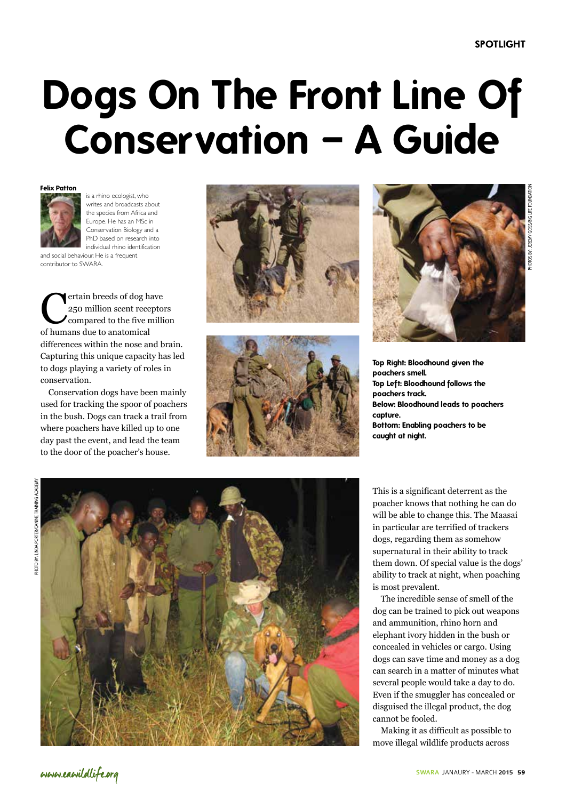# **Dogs On The Front Line Of Conservation – A Guide**

### **Felix Patton**



contributor to SWARA.

is a rhino ecologist, who writes and broadcasts about the species from Africa and Europe. He has an MSc in Conservation Biology and a PhD based on research into individual rhino identification and social behaviour. He is a frequent

**C**ertain breeds of dog have<br>
250 million scent receptor<br>
compared to the five million 250 million scent receptors compared to the five million of humans due to anatomical differences within the nose and brain. Capturing this unique capacity has led to dogs playing a variety of roles in conservation.

Conservation dogs have been mainly used for tracking the spoor of poachers in the bush. Dogs can track a trail from where poachers have killed up to one day past the event, and lead the team to the door of the poacher's house.







**Top Right: Bloodhound given the poachers smell. Top Left: Bloodhound follows the poachers track. Below: Bloodhound leads to poachers capture. Bottom: Enabling poachers to be caught at night.**



This is a significant deterrent as the poacher knows that nothing he can do will be able to change this. The Maasai in particular are terrified of trackers dogs, regarding them as somehow supernatural in their ability to track them down. Of special value is the dogs' ability to track at night, when poaching is most prevalent.

The incredible sense of smell of the dog can be trained to pick out weapons and ammunition, rhino horn and elephant ivory hidden in the bush or concealed in vehicles or cargo. Using dogs can save time and money as a dog can search in a matter of minutes what several people would take a day to do. Even if the smuggler has concealed or disguised the illegal product, the dog cannot be fooled.

Making it as difficult as possible to move illegal wildlife products across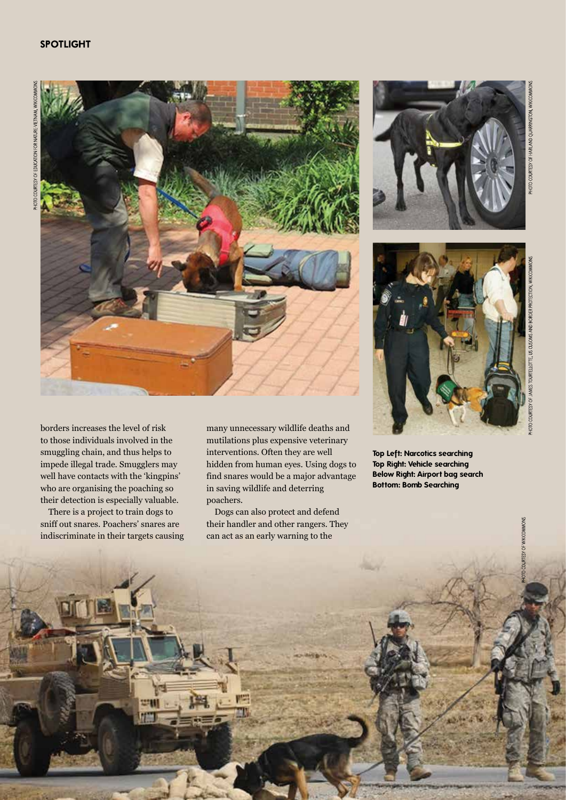## **SPOTLIGHT**



borders increases the level of risk to those individuals involved in the smuggling chain, and thus helps to impede illegal trade. Smugglers may well have contacts with the 'kingpins' who are organising the poaching so their detection is especially valuable.

There is a project to train dogs to sniff out snares. Poachers' snares are indiscriminate in their targets causing

**60** SWARA JANUARY - MARCH 2015



Dogs can also protect and defend their handler and other rangers. They can act as an early warning to the





OF WIKICOMMONS

**Top Left: Narcotics searching Top Right: Vehicle searching Below Right: Airport bag search Bottom: Bomb Searching**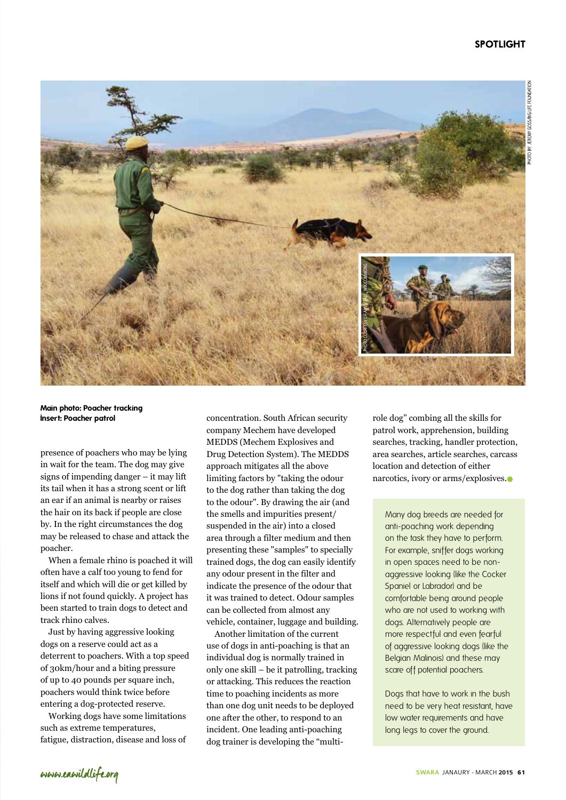## **SPOTLIGHT**



**Main photo: Poacher tracking Insert: Poacher patrol**

presence of poachers who may be lying in wait for the team. The dog may give signs of impending danger – it may lift its tail when it has a strong scent or lift an ear if an animal is nearby or raises the hair on its back if people are close by. In the right circumstances the dog may be released to chase and attack the poacher.

When a female rhino is poached it will often have a calf too young to fend for itself and which will die or get killed by lions if not found quickly. A project has been started to train dogs to detect and track rhino calves.

Just by having aggressive looking dogs on a reserve could act as a deterrent to poachers. With a top speed of 30km/hour and a biting pressure of up to 40 pounds per square inch, poachers would think twice before entering a dog-protected reserve.

Working dogs have some limitations such as extreme temperatures, fatigue, distraction, disease and loss of

concentration. South African security company Mechem have developed MEDDS (Mechem Explosives and Drug Detection System). The MEDDS approach mitigates all the above limiting factors by "taking the odour to the dog rather than taking the dog to the odour". By drawing the air (and the smells and impurities present/ suspended in the air) into a closed area through a filter medium and then presenting these "samples" to specially trained dogs, the dog can easily identify any odour present in the filter and indicate the presence of the odour that it was trained to detect. Odour samples can be collected from almost any vehicle, container, luggage and building.

Another limitation of the current use of dogs in anti-poaching is that an individual dog is normally trained in only one skill – be it patrolling, tracking or attacking. This reduces the reaction time to poaching incidents as more than one dog unit needs to be deployed one after the other, to respond to an incident. One leading anti-poaching dog trainer is developing the "multirole dog" combing all the skills for patrol work, apprehension, building searches, tracking, handler protection, area searches, article searches, carcass location and detection of either narcotics, ivory or arms/explosives.

Many dog breeds are needed for anti-poaching work depending on the task they have to perform. For example, sniffer dogs working in open spaces need to be nonaggressive looking (like the Cocker Spaniel or Labrador) and be comfortable being around people who are not used to working with dogs. Alternatively people are more respectful and even fearful of aggressive looking dogs (like the Belgian Malinois) and these may scare off potential poachers.

Dogs that have to work in the bush need to be very heat resistant, have low water requirements and have long legs to cover the ground.